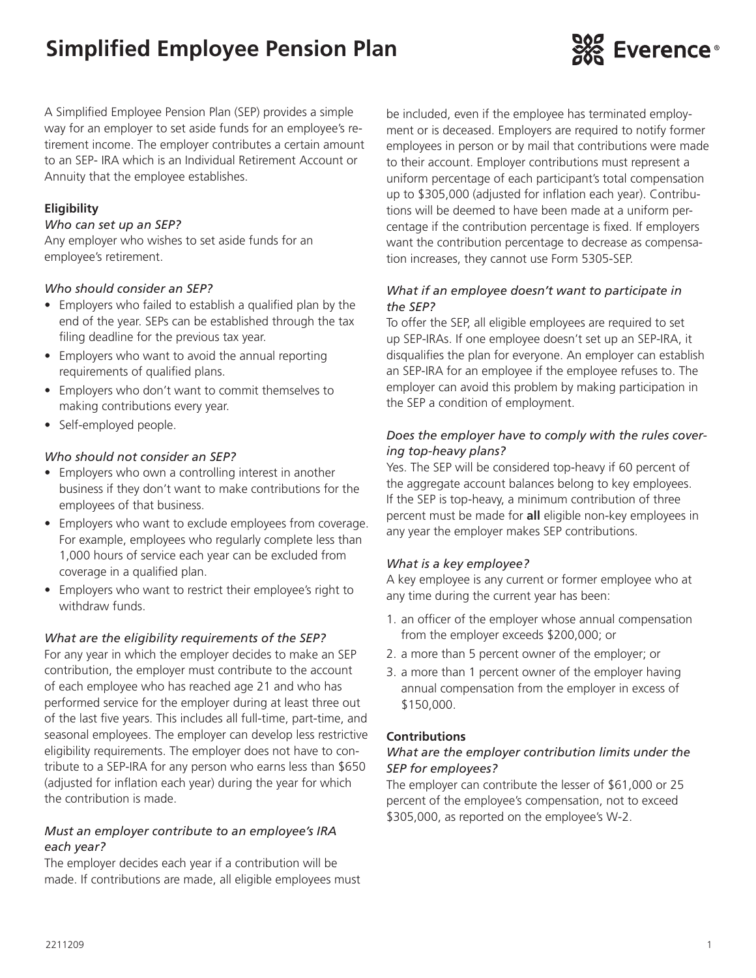# **Simplified Employee Pension Plan**



A Simplified Employee Pension Plan (SEP) provides a simple way for an employer to set aside funds for an employee's retirement income. The employer contributes a certain amount to an SEP- IRA which is an Individual Retirement Account or Annuity that the employee establishes.

# **Eligibility**

#### *Who can set up an SEP?*

Any employer who wishes to set aside funds for an employee's retirement.

#### *Who should consider an SEP?*

- Employers who failed to establish a qualified plan by the end of the year. SEPs can be established through the tax filing deadline for the previous tax year.
- Employers who want to avoid the annual reporting requirements of qualified plans.
- Employers who don't want to commit themselves to making contributions every year.
- Self-employed people.

#### *Who should not consider an SEP?*

- Employers who own a controlling interest in another business if they don't want to make contributions for the employees of that business.
- Employers who want to exclude employees from coverage. For example, employees who regularly complete less than 1,000 hours of service each year can be excluded from coverage in a qualified plan.
- Employers who want to restrict their employee's right to withdraw funds.

### *What are the eligibility requirements of the SEP?*

For any year in which the employer decides to make an SEP contribution, the employer must contribute to the account of each employee who has reached age 21 and who has performed service for the employer during at least three out of the last five years. This includes all full-time, part-time, and seasonal employees. The employer can develop less restrictive eligibility requirements. The employer does not have to contribute to a SEP-IRA for any person who earns less than \$650 (adjusted for inflation each year) during the year for which the contribution is made.

### *Must an employer contribute to an employee's IRA each year?*

The employer decides each year if a contribution will be made. If contributions are made, all eligible employees must be included, even if the employee has terminated employment or is deceased. Employers are required to notify former employees in person or by mail that contributions were made to their account. Employer contributions must represent a uniform percentage of each participant's total compensation up to \$305,000 (adjusted for inflation each year). Contributions will be deemed to have been made at a uniform percentage if the contribution percentage is fixed. If employers want the contribution percentage to decrease as compensation increases, they cannot use Form 5305-SEP.

#### *What if an employee doesn't want to participate in the SEP?*

To offer the SEP, all eligible employees are required to set up SEP-IRAs. If one employee doesn't set up an SEP-IRA, it disqualifies the plan for everyone. An employer can establish an SEP-IRA for an employee if the employee refuses to. The employer can avoid this problem by making participation in the SEP a condition of employment.

### *Does the employer have to comply with the rules covering top-heavy plans?*

Yes. The SEP will be considered top-heavy if 60 percent of the aggregate account balances belong to key employees. If the SEP is top-heavy, a minimum contribution of three percent must be made for **all** eligible non-key employees in any year the employer makes SEP contributions.

#### *What is a key employee?*

A key employee is any current or former employee who at any time during the current year has been:

- 1. an officer of the employer whose annual compensation from the employer exceeds \$200,000; or
- 2. a more than 5 percent owner of the employer; or
- 3. a more than 1 percent owner of the employer having annual compensation from the employer in excess of \$150,000.

#### **Contributions**

#### *What are the employer contribution limits under the SEP for employees?*

The employer can contribute the lesser of \$61,000 or 25 percent of the employee's compensation, not to exceed \$305,000, as reported on the employee's W-2.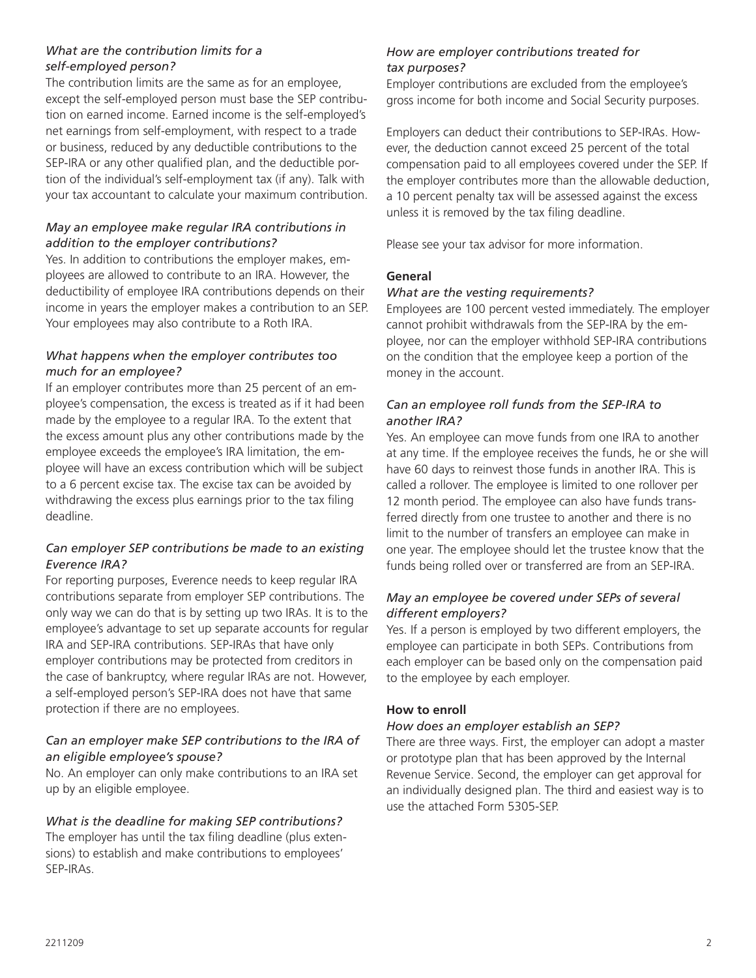# *What are the contribution limits for a self-employed person?*

The contribution limits are the same as for an employee, except the self-employed person must base the SEP contribution on earned income. Earned income is the self-employed's net earnings from self-employment, with respect to a trade or business, reduced by any deductible contributions to the SEP-IRA or any other qualified plan, and the deductible portion of the individual's self-employment tax (if any). Talk with your tax accountant to calculate your maximum contribution.

# *May an employee make regular IRA contributions in addition to the employer contributions?*

Yes. In addition to contributions the employer makes, employees are allowed to contribute to an IRA. However, the deductibility of employee IRA contributions depends on their income in years the employer makes a contribution to an SEP. Your employees may also contribute to a Roth IRA.

# *What happens when the employer contributes too much for an employee?*

If an employer contributes more than 25 percent of an employee's compensation, the excess is treated as if it had been made by the employee to a regular IRA. To the extent that the excess amount plus any other contributions made by the employee exceeds the employee's IRA limitation, the employee will have an excess contribution which will be subject to a 6 percent excise tax. The excise tax can be avoided by withdrawing the excess plus earnings prior to the tax filing deadline.

# *Can employer SEP contributions be made to an existing Everence IRA?*

For reporting purposes, Everence needs to keep regular IRA contributions separate from employer SEP contributions. The only way we can do that is by setting up two IRAs. It is to the employee's advantage to set up separate accounts for regular IRA and SEP-IRA contributions. SEP-IRAs that have only employer contributions may be protected from creditors in the case of bankruptcy, where regular IRAs are not. However, a self-employed person's SEP-IRA does not have that same protection if there are no employees.

# *Can an employer make SEP contributions to the IRA of an eligible employee's spouse?*

No. An employer can only make contributions to an IRA set up by an eligible employee.

# *What is the deadline for making SEP contributions?*

The employer has until the tax filing deadline (plus extensions) to establish and make contributions to employees' SEP-IRAs.

# *How are employer contributions treated for tax purposes?*

Employer contributions are excluded from the employee's gross income for both income and Social Security purposes.

Employers can deduct their contributions to SEP-IRAs. However, the deduction cannot exceed 25 percent of the total compensation paid to all employees covered under the SEP. If the employer contributes more than the allowable deduction, a 10 percent penalty tax will be assessed against the excess unless it is removed by the tax filing deadline.

Please see your tax advisor for more information.

# **General**

### *What are the vesting requirements?*

Employees are 100 percent vested immediately. The employer cannot prohibit withdrawals from the SEP-IRA by the employee, nor can the employer withhold SEP-IRA contributions on the condition that the employee keep a portion of the money in the account.

# *Can an employee roll funds from the SEP-IRA to another IRA?*

Yes. An employee can move funds from one IRA to another at any time. If the employee receives the funds, he or she will have 60 days to reinvest those funds in another IRA. This is called a rollover. The employee is limited to one rollover per 12 month period. The employee can also have funds transferred directly from one trustee to another and there is no limit to the number of transfers an employee can make in one year. The employee should let the trustee know that the funds being rolled over or transferred are from an SEP-IRA.

# *May an employee be covered under SEPs of several different employers?*

Yes. If a person is employed by two different employers, the employee can participate in both SEPs. Contributions from each employer can be based only on the compensation paid to the employee by each employer.

# **How to enroll**

### *How does an employer establish an SEP?*

There are three ways. First, the employer can adopt a master or prototype plan that has been approved by the Internal Revenue Service. Second, the employer can get approval for an individually designed plan. The third and easiest way is to use the attached Form 5305-SEP.